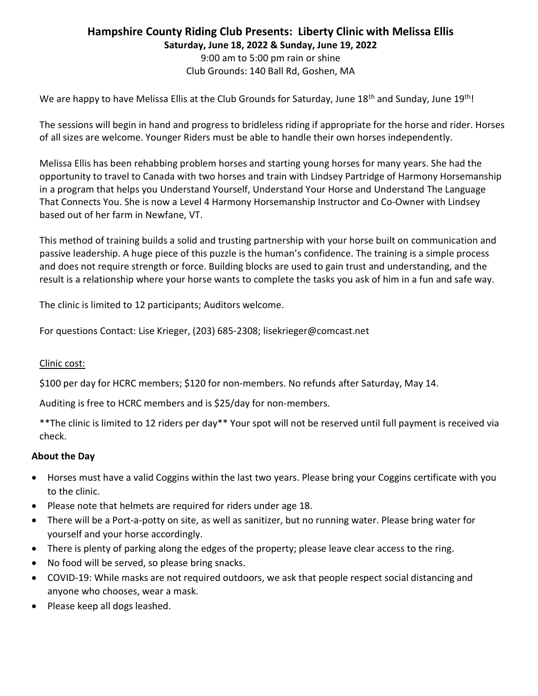# Hampshire County Riding Club Presents: Liberty Clinic with Melissa Ellis Saturday, June 18, 2022 & Sunday, June 19, 2022

9:00 am to 5:00 pm rain or shine Club Grounds: 140 Ball Rd, Goshen, MA

We are happy to have Melissa Ellis at the Club Grounds for Saturday, June 18<sup>th</sup> and Sunday, June 19<sup>th</sup>!

The sessions will begin in hand and progress to bridleless riding if appropriate for the horse and rider. Horses of all sizes are welcome. Younger Riders must be able to handle their own horses independently.

Melissa Ellis has been rehabbing problem horses and starting young horses for many years. She had the opportunity to travel to Canada with two horses and train with Lindsey Partridge of Harmony Horsemanship in a program that helps you Understand Yourself, Understand Your Horse and Understand The Language That Connects You. She is now a Level 4 Harmony Horsemanship Instructor and Co-Owner with Lindsey based out of her farm in Newfane, VT.

This method of training builds a solid and trusting partnership with your horse built on communication and passive leadership. A huge piece of this puzzle is the human's confidence. The training is a simple process and does not require strength or force. Building blocks are used to gain trust and understanding, and the result is a relationship where your horse wants to complete the tasks you ask of him in a fun and safe way.

The clinic is limited to 12 participants; Auditors welcome.

For questions Contact: Lise Krieger, (203) 685-2308; lisekrieger@comcast.net

## Clinic cost:

\$100 per day for HCRC members; \$120 for non-members. No refunds after Saturday, May 14.

Auditing is free to HCRC members and is \$25/day for non-members.

\*\*The clinic is limited to 12 riders per day\*\* Your spot will not be reserved until full payment is received via check.

## About the Day

- Horses must have a valid Coggins within the last two years. Please bring your Coggins certificate with you to the clinic.
- Please note that helmets are required for riders under age 18.
- There will be a Port-a-potty on site, as well as sanitizer, but no running water. Please bring water for yourself and your horse accordingly.
- There is plenty of parking along the edges of the property; please leave clear access to the ring.
- No food will be served, so please bring snacks.
- COVID-19: While masks are not required outdoors, we ask that people respect social distancing and anyone who chooses, wear a mask.
- Please keep all dogs leashed.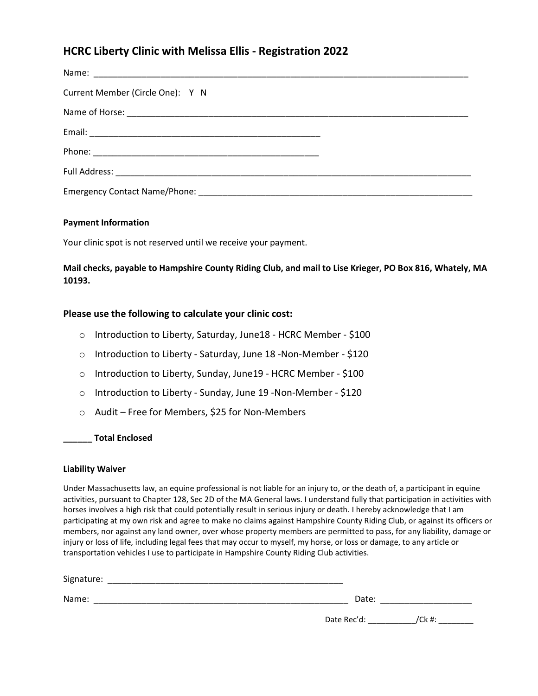# HCRC Liberty Clinic with Melissa Ellis - Registration 2022

| Current Member (Circle One): Y N |  |
|----------------------------------|--|
|                                  |  |
|                                  |  |
|                                  |  |
|                                  |  |
|                                  |  |

### Payment Information

Your clinic spot is not reserved until we receive your payment.

Mail checks, payable to Hampshire County Riding Club, and mail to Lise Krieger, PO Box 816, Whately, MA 10193.

### Please use the following to calculate your clinic cost:

- o Introduction to Liberty, Saturday, June18 HCRC Member \$100
- o Introduction to Liberty Saturday, June 18 -Non-Member \$120
- o Introduction to Liberty, Sunday, June19 HCRC Member \$100
- o Introduction to Liberty Sunday, June 19 -Non-Member \$120
- o Audit Free for Members, \$25 for Non-Members

### \_\_\_\_\_\_ Total Enclosed

### Liability Waiver

Under Massachusetts law, an equine professional is not liable for an injury to, or the death of, a participant in equine activities, pursuant to Chapter 128, Sec 2D of the MA General laws. I understand fully that participation in activities with horses involves a high risk that could potentially result in serious injury or death. I hereby acknowledge that I am participating at my own risk and agree to make no claims against Hampshire County Riding Club, or against its officers or members, nor against any land owner, over whose property members are permitted to pass, for any liability, damage or injury or loss of life, including legal fees that may occur to myself, my horse, or loss or damage, to any article or transportation vehicles I use to participate in Hampshire County Riding Club activities.

| Signature: |             |           |  |  |
|------------|-------------|-----------|--|--|
| Name:      | Date:       |           |  |  |
|            | Date Rec'd: | $/$ Ck #: |  |  |